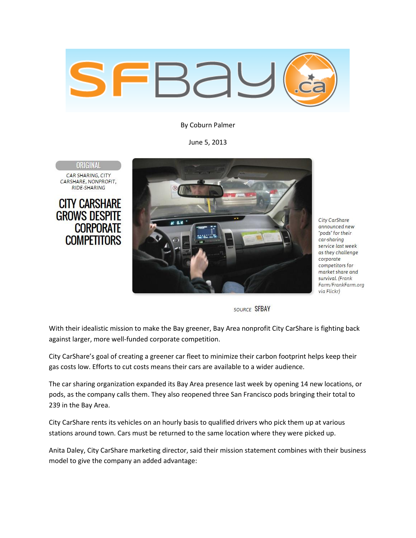

By Coburn Palmer

June 5, 2013

ORIGINAL CAR SHARING, CITY CARSHARE, NONPROFIT. RIDE-SHARING

**CITY CARSHARE GROWS DESPITE CORPORATE COMPETITORS** 



City CarShare announced new "pods" for their car-sharing service last week as they challenge corporate competitors for market share and survival. (Frank Farm/FrankFarm.org via Flickr)

SOURCE SEBAY

With their idealistic mission to make the Bay greener, Bay Area nonprofit City CarShare is fighting back against larger, more well-funded corporate competition.

City CarShare's goal of creating a greener car fleet to minimize their carbon footprint helps keep their gas costs low. Efforts to cut costs means their cars are available to a wider audience.

The car sharing organization expanded its Bay Area presence last week by opening 14 new locations, or pods, as the company calls them. They also reopened three San Francisco pods bringing their total to 239 in the Bay Area.

City CarShare rents its vehicles on an hourly basis to qualified drivers who pick them up at various stations around town. Cars must be returned to the same location where they were picked up.

Anita Daley, City CarShare marketing director, said their mission statement combines with their business model to give the company an added advantage: